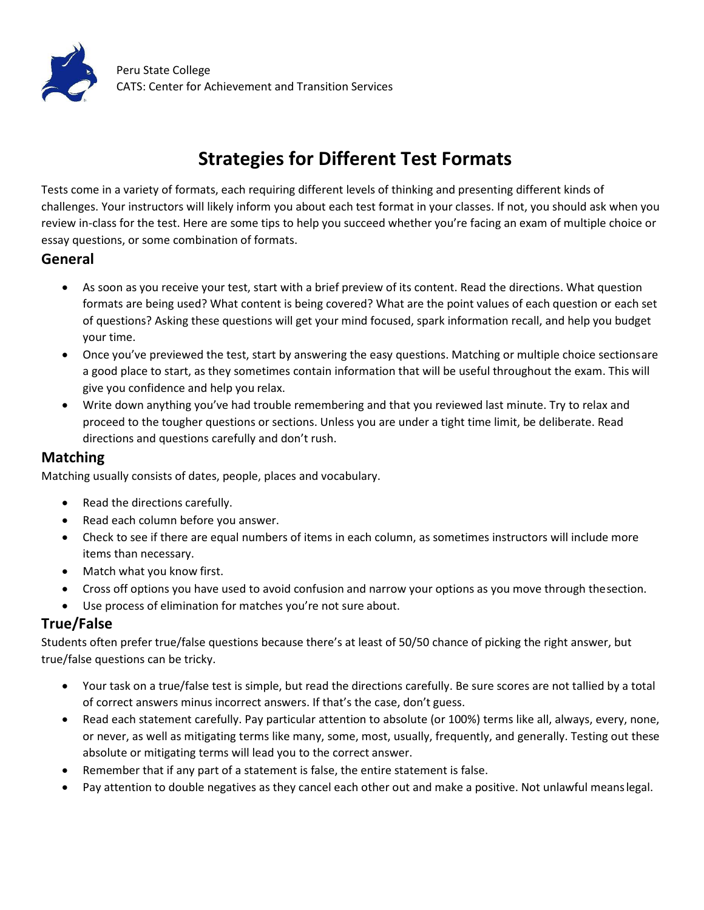

# **Strategies for Different Test Formats**

Tests come in a variety of formats, each requiring different levels of thinking and presenting different kinds of challenges. Your instructors will likely inform you about each test format in your classes. If not, you should ask when you review in-class for the test. Here are some tips to help you succeed whether you're facing an exam of multiple choice or essay questions, or some combination of formats.

### **General**

- · As soon as you receive your test, start with a brief preview of its content. Read the directions. What question formats are being used? What content is being covered? What are the point values of each question or each set of questions? Asking these questions will get your mind focused, spark information recall, and help you budget your time.
- · Once you've previewed the test, start by answering the easy questions. Matching or multiple choice sectionsare a good place to start, as they sometimes contain information that will be useful throughout the exam. This will give you confidence and help you relax.
- · Write down anything you've had trouble remembering and that you reviewed last minute. Try to relax and proceed to the tougher questions or sections. Unless you are under a tight time limit, be deliberate. Read directions and questions carefully and don't rush.

### **Matching**

Matching usually consists of dates, people, places and vocabulary.

- Read the directions carefully.
- · Read each column before you answer.
- · Check to see if there are equal numbers of items in each column, as sometimes instructors will include more items than necessary.
- Match what you know first.
- · Cross off options you have used to avoid confusion and narrow your options as you move through thesection.
- Use process of elimination for matches you're not sure about.

### **True/False**

Students often prefer true/false questions because there's at least of 50/50 chance of picking the right answer, but true/false questions can be tricky.

- · Your task on a true/false test is simple, but read the directions carefully. Be sure scores are not tallied by a total of correct answers minus incorrect answers. If that's the case, don't guess.
- Read each statement carefully. Pay particular attention to absolute (or 100%) terms like all, always, every, none, or never, as well as mitigating terms like many, some, most, usually, frequently, and generally. Testing out these absolute or mitigating terms will lead you to the correct answer.
- Remember that if any part of a statement is false, the entire statement is false.
- · Pay attention to double negatives as they cancel each other out and make a positive. Not unlawful meanslegal.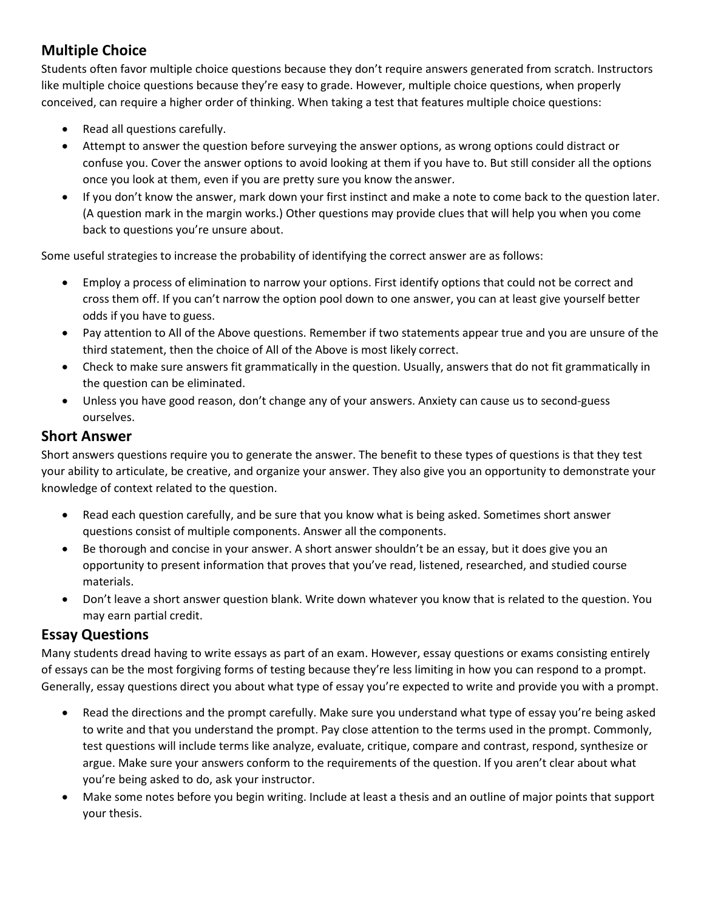# **Multiple Choice**

Students often favor multiple choice questions because they don't require answers generated from scratch. Instructors like multiple choice questions because they're easy to grade. However, multiple choice questions, when properly conceived, can require a higher order of thinking. When taking a test that features multiple choice questions:

- · Read all questions carefully.
- Attempt to answer the question before surveying the answer options, as wrong options could distract or confuse you. Cover the answer options to avoid looking at them if you have to. But still consider all the options once you look at them, even if you are pretty sure you know the answer.
- · If you don't know the answer, mark down your first instinct and make a note to come back to the question later. (A question mark in the margin works.) Other questions may provide clues that will help you when you come back to questions you're unsure about.

Some useful strategies to increase the probability of identifying the correct answer are as follows:

- · Employ a process of elimination to narrow your options. First identify options that could not be correct and cross them off. If you can't narrow the option pool down to one answer, you can at least give yourself better odds if you have to guess.
- · Pay attention to All of the Above questions. Remember if two statements appear true and you are unsure of the third statement, then the choice of All of the Above is most likely correct.
- · Check to make sure answers fit grammatically in the question. Usually, answers that do not fit grammatically in the question can be eliminated.
- · Unless you have good reason, don't change any of your answers. Anxiety can cause us to second-guess ourselves.

### **Short Answer**

Short answers questions require you to generate the answer. The benefit to these types of questions is that they test your ability to articulate, be creative, and organize your answer. They also give you an opportunity to demonstrate your knowledge of context related to the question.

- · Read each question carefully, and be sure that you know what is being asked. Sometimes short answer questions consist of multiple components. Answer all the components.
- Be thorough and concise in your answer. A short answer shouldn't be an essay, but it does give you an opportunity to present information that proves that you've read, listened, researched, and studied course materials.
- · Don't leave a short answer question blank. Write down whatever you know that is related to the question. You may earn partial credit.

## **Essay Questions**

Many students dread having to write essays as part of an exam. However, essay questions or exams consisting entirely of essays can be the most forgiving forms of testing because they're less limiting in how you can respond to a prompt. Generally, essay questions direct you about what type of essay you're expected to write and provide you with a prompt.

- · Read the directions and the prompt carefully. Make sure you understand what type of essay you're being asked to write and that you understand the prompt. Pay close attention to the terms used in the prompt. Commonly, test questions will include terms like analyze, evaluate, critique, compare and contrast, respond, synthesize or argue. Make sure your answers conform to the requirements of the question. If you aren't clear about what you're being asked to do, ask your instructor.
- · Make some notes before you begin writing. Include at least a thesis and an outline of major points that support your thesis.